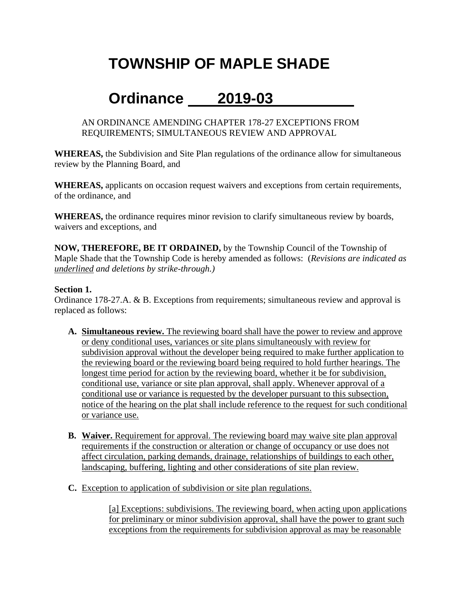# **TOWNSHIP OF MAPLE SHADE**

## **Ordinance 2019-03**

AN ORDINANCE AMENDING CHAPTER 178-27 EXCEPTIONS FROM REQUIREMENTS; SIMULTANEOUS REVIEW AND APPROVAL

**WHEREAS,** the Subdivision and Site Plan regulations of the ordinance allow for simultaneous review by the Planning Board, and

**WHEREAS,** applicants on occasion request waivers and exceptions from certain requirements, of the ordinance, and

**WHEREAS,** the ordinance requires minor revision to clarify simultaneous review by boards, waivers and exceptions, and

**NOW, THEREFORE, BE IT ORDAINED,** by the Township Council of the Township of Maple Shade that the Township Code is hereby amended as follows: (*Revisions are indicated as underlined and deletions by strike-through.)*

#### **Section 1.**

Ordinance 178-27.A. & B. Exceptions from requirements; simultaneous review and approval is replaced as follows:

- **A. Simultaneous review.** The reviewing board shall have the power to review and approve or deny conditional uses, variances or site plans simultaneously with review for subdivision approval without the developer being required to make further application to the reviewing board or the reviewing board being required to hold further hearings. The longest time period for action by the reviewing board, whether it be for subdivision, conditional use, variance or site plan approval, shall apply. Whenever approval of a conditional use or variance is requested by the developer pursuant to this subsection, notice of the hearing on the plat shall include reference to the request for such conditional or variance use.
- **B. Waiver.** Requirement for approval. The reviewing board may waive site plan approval requirements if the construction or alteration or change of occupancy or use does not affect circulation, parking demands, drainage, relationships of buildings to each other, landscaping, buffering, lighting and other considerations of site plan review.
- **C.** Exception to application of subdivision or site plan regulations.

[a] Exceptions: subdivisions. The reviewing board, when acting upon applications for preliminary or minor subdivision approval, shall have the power to grant such exceptions from the requirements for subdivision approval as may be reasonable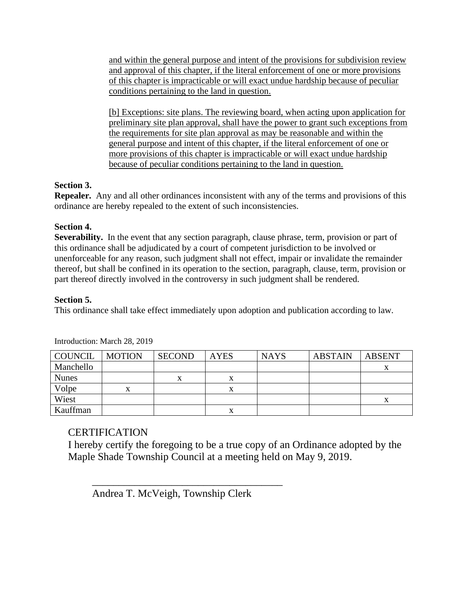and within the general purpose and intent of the provisions for subdivision review and approval of this chapter, if the literal enforcement of one or more provisions of this chapter is impracticable or will exact undue hardship because of peculiar conditions pertaining to the land in question.

[b] Exceptions: site plans. The reviewing board, when acting upon application for preliminary site plan approval, shall have the power to grant such exceptions from the requirements for site plan approval as may be reasonable and within the general purpose and intent of this chapter, if the literal enforcement of one or more provisions of this chapter is impracticable or will exact undue hardship because of peculiar conditions pertaining to the land in question.

#### **Section 3.**

**Repealer.** Any and all other ordinances inconsistent with any of the terms and provisions of this ordinance are hereby repealed to the extent of such inconsistencies.

### **Section 4.**

**Severability.** In the event that any section paragraph, clause phrase, term, provision or part of this ordinance shall be adjudicated by a court of competent jurisdiction to be involved or unenforceable for any reason, such judgment shall not effect, impair or invalidate the remainder thereof, but shall be confined in its operation to the section, paragraph, clause, term, provision or part thereof directly involved in the controversy in such judgment shall be rendered.

#### **Section 5.**

This ordinance shall take effect immediately upon adoption and publication according to law.

| COUNCIL      | <b>MOTION</b> | <b>SECOND</b> | <b>AYES</b> | <b>NAYS</b> | <b>ABSTAIN</b> | <b>ABSENT</b> |
|--------------|---------------|---------------|-------------|-------------|----------------|---------------|
| Manchello    |               |               |             |             |                |               |
| <b>Nunes</b> |               | х             |             |             |                |               |
| Volpe        | x             |               |             |             |                |               |
| Wiest        |               |               |             |             |                | л             |
| Kauffman     |               |               | л           |             |                |               |

Introduction: March 28, 2019

### CERTIFICATION

I hereby certify the foregoing to be a true copy of an Ordinance adopted by the Maple Shade Township Council at a meeting held on May 9, 2019.

Andrea T. McVeigh, Township Clerk

 $\overline{\phantom{a}}$  ,  $\overline{\phantom{a}}$  ,  $\overline{\phantom{a}}$  ,  $\overline{\phantom{a}}$  ,  $\overline{\phantom{a}}$  ,  $\overline{\phantom{a}}$  ,  $\overline{\phantom{a}}$  ,  $\overline{\phantom{a}}$  ,  $\overline{\phantom{a}}$  ,  $\overline{\phantom{a}}$  ,  $\overline{\phantom{a}}$  ,  $\overline{\phantom{a}}$  ,  $\overline{\phantom{a}}$  ,  $\overline{\phantom{a}}$  ,  $\overline{\phantom{a}}$  ,  $\overline{\phantom{a}}$